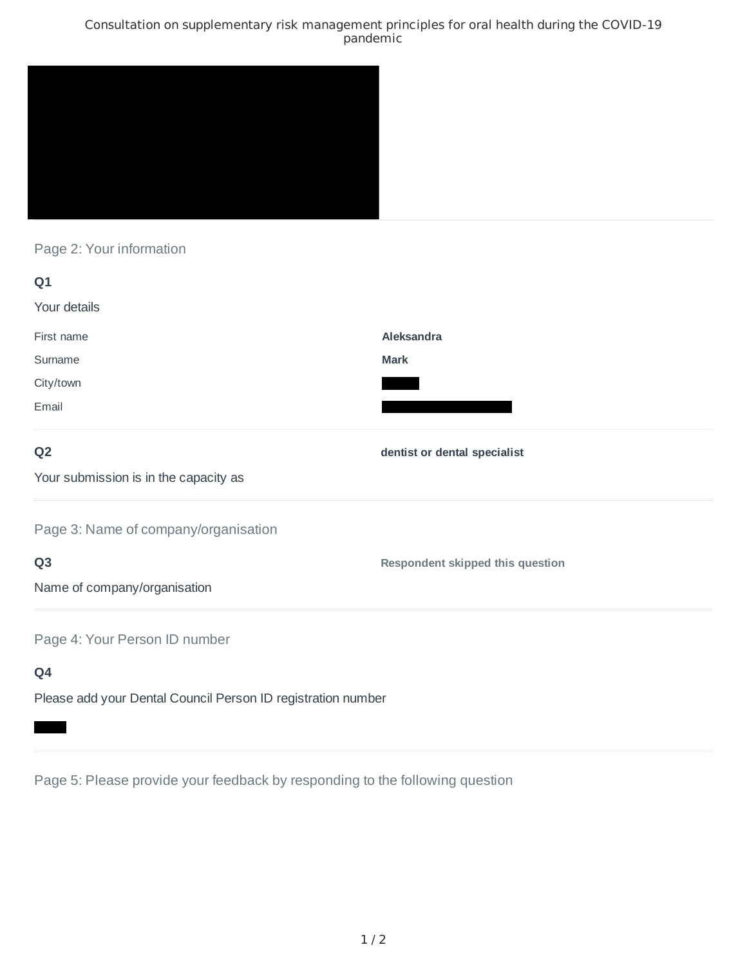## Consultation on supplementary risk management principles for oral health during the COVID-19 pandemic



Page 2: Your information

| Q1                                    |                                  |
|---------------------------------------|----------------------------------|
| Your details                          |                                  |
| First name                            | Aleksandra                       |
| Surname                               | Mark                             |
| City/town                             |                                  |
| Email                                 |                                  |
| Q <sub>2</sub>                        | dentist or dental specialist     |
| Your submission is in the capacity as |                                  |
| Page 3: Name of company/organisation  |                                  |
| Q <sub>3</sub>                        | Respondent skipped this question |
| Name of company/organisation          |                                  |
|                                       |                                  |

Page 4: Your Person ID number

**Q4**

Please add your Dental Council Person ID registration number

Page 5: Please provide your feedback by responding to the following question